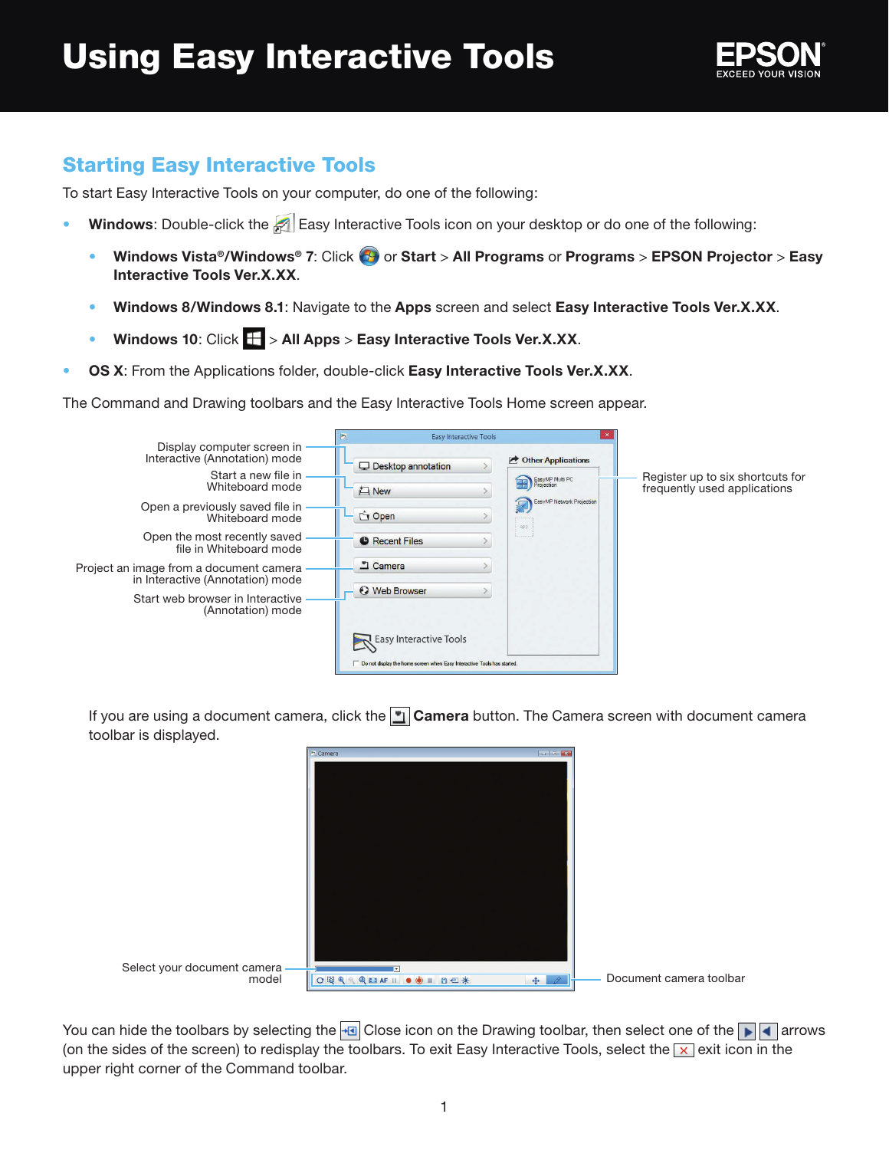

## Starting Easy Interactive Tools

To start Easy Interactive Tools on your computer, do one of the following:

- Windows: Double-click the **P** Easy Interactive Tools icon on your desktop or do one of the following:
	- Windows Vista®/Windows® 7: Click  $\bigoplus$  or Start > All Programs or Programs > EPSON Projector > Easy **Interactive Tools Ver.X.XX**.
	- **Windows 8/Windows 8.1**: Navigate to the **Apps** screen and select **Easy Interactive Tools Ver.X.XX**.
	- Windows 10: Click  $\mathbf{F}$  > All Apps > Easy Interactive Tools Ver.X.XX.
- **OS X**: From the Applications folder, double-click **Easy Interactive Tools Ver.X.XX**.

The Command and Drawing toolbars and the Easy Interactive Tools Home screen appear.



If you are using a document camera, click the **Languid Camera** button. The Camera screen with document camera toolbar is displayed.

|                             | Camera           |                                            |
|-----------------------------|------------------|--------------------------------------------|
|                             |                  |                                            |
|                             |                  |                                            |
|                             |                  |                                            |
|                             |                  |                                            |
|                             |                  |                                            |
|                             |                  |                                            |
|                             |                  |                                            |
|                             |                  |                                            |
|                             |                  |                                            |
|                             |                  |                                            |
|                             |                  |                                            |
|                             |                  |                                            |
|                             |                  |                                            |
|                             |                  |                                            |
| Select your document camera |                  |                                            |
|                             | OQQQDAFII OO BOX | Document camera toolbar<br>$\theta$<br>$+$ |

You can hide the toolbars by selecting the  $\Box$  Close icon on the Drawing toolbar, then select one of the  $\Box$  arrows (on the sides of the screen) to redisplay the toolbars. To exit Easy Interactive Tools, select the  $\times$  exit icon in the upper right corner of the Command toolbar.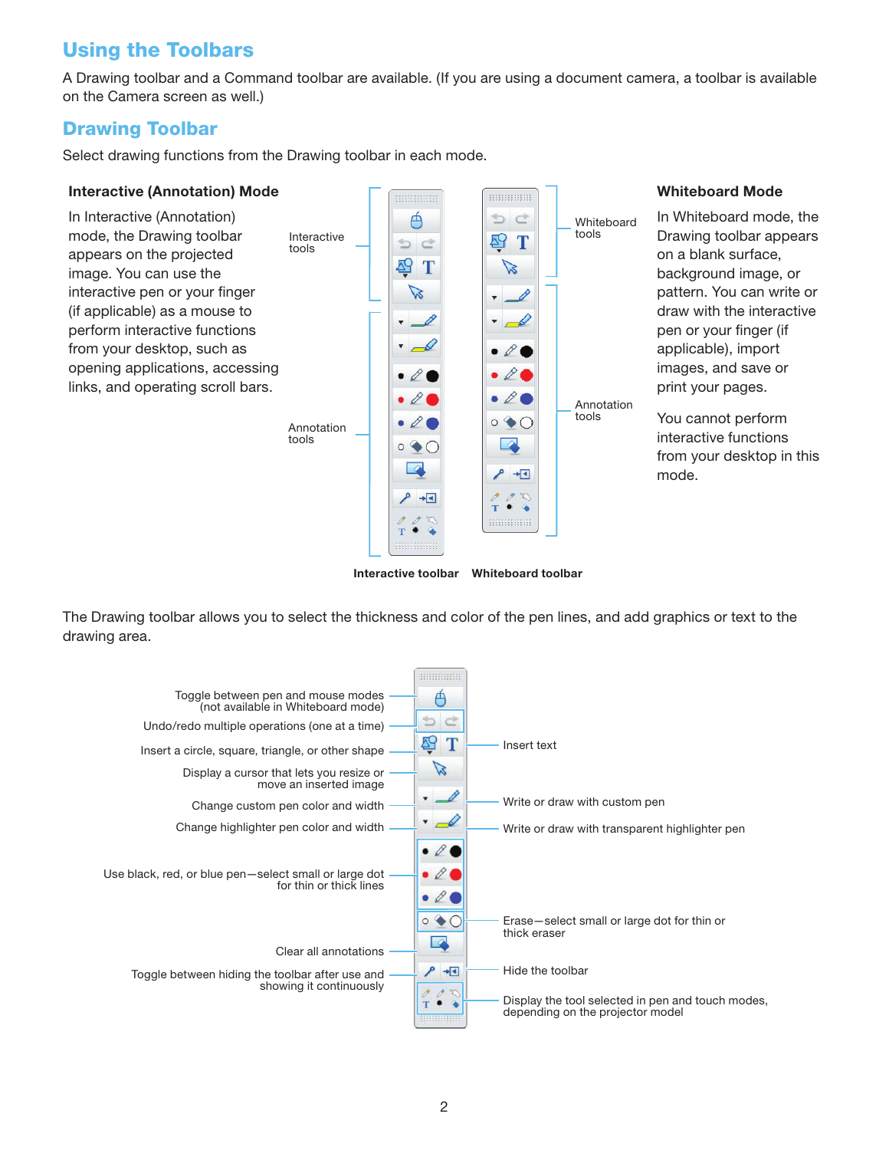# Using the Toolbars

A Drawing toolbar and a Command toolbar are available. (If you are using a document camera, a toolbar is available on the Camera screen as well.)

**Whiteboard Mode**

### Drawing Toolbar

Select drawing functions from the Drawing toolbar in each mode.

#### **Interactive (Annotation) Mode**



**Interactive toolbar Whiteboard toolbar**

The Drawing toolbar allows you to select the thickness and color of the pen lines, and add graphics or text to the drawing area.

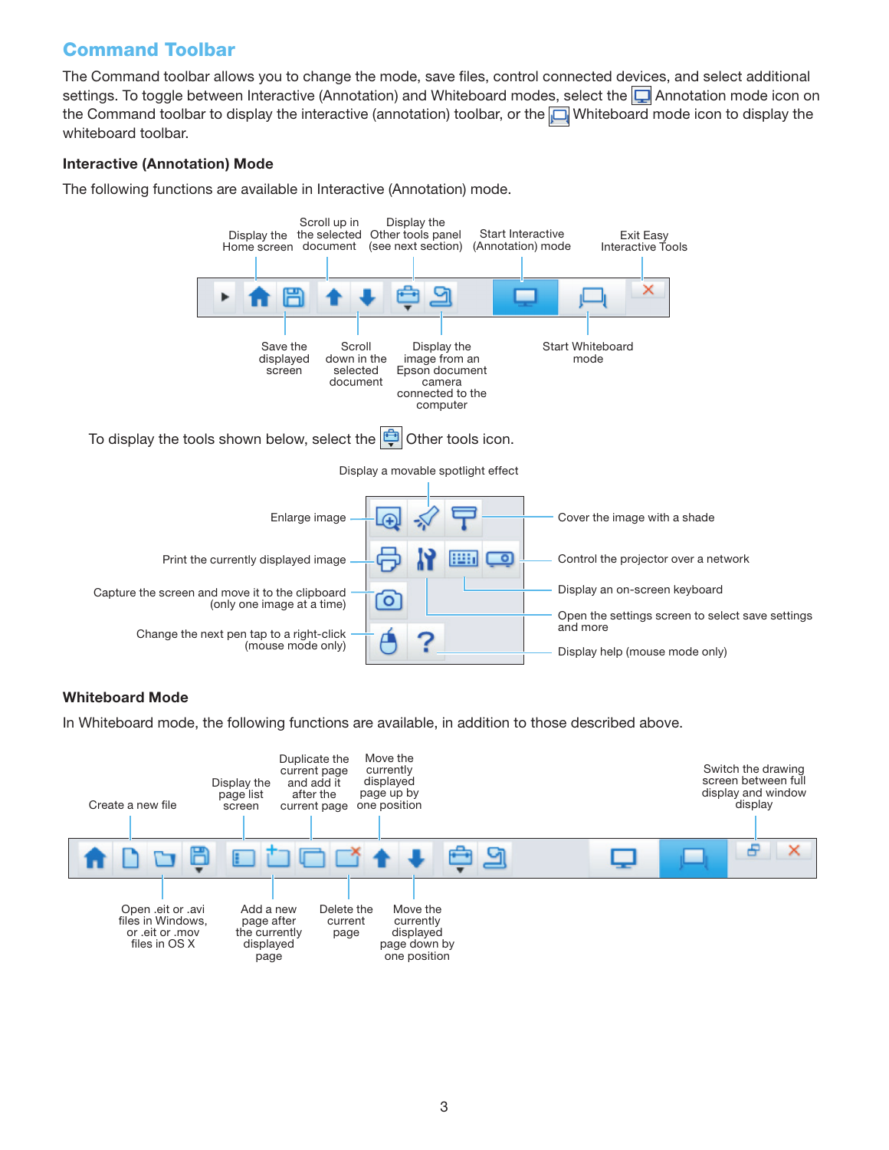## Command Toolbar

The Command toolbar allows you to change the mode, save files, control connected devices, and select additional settings. To toggle between Interactive (Annotation) and Whiteboard modes, select the  $\Box$  Annotation mode icon on the Command toolbar to display the interactive (annotation) toolbar, or the  $\Box$  Whiteboard mode icon to display the whiteboard toolbar.

### **Interactive (Annotation) Mode**

The following functions are available in Interactive (Annotation) mode.



#### **Whiteboard Mode**

In Whiteboard mode, the following functions are available, in addition to those described above.

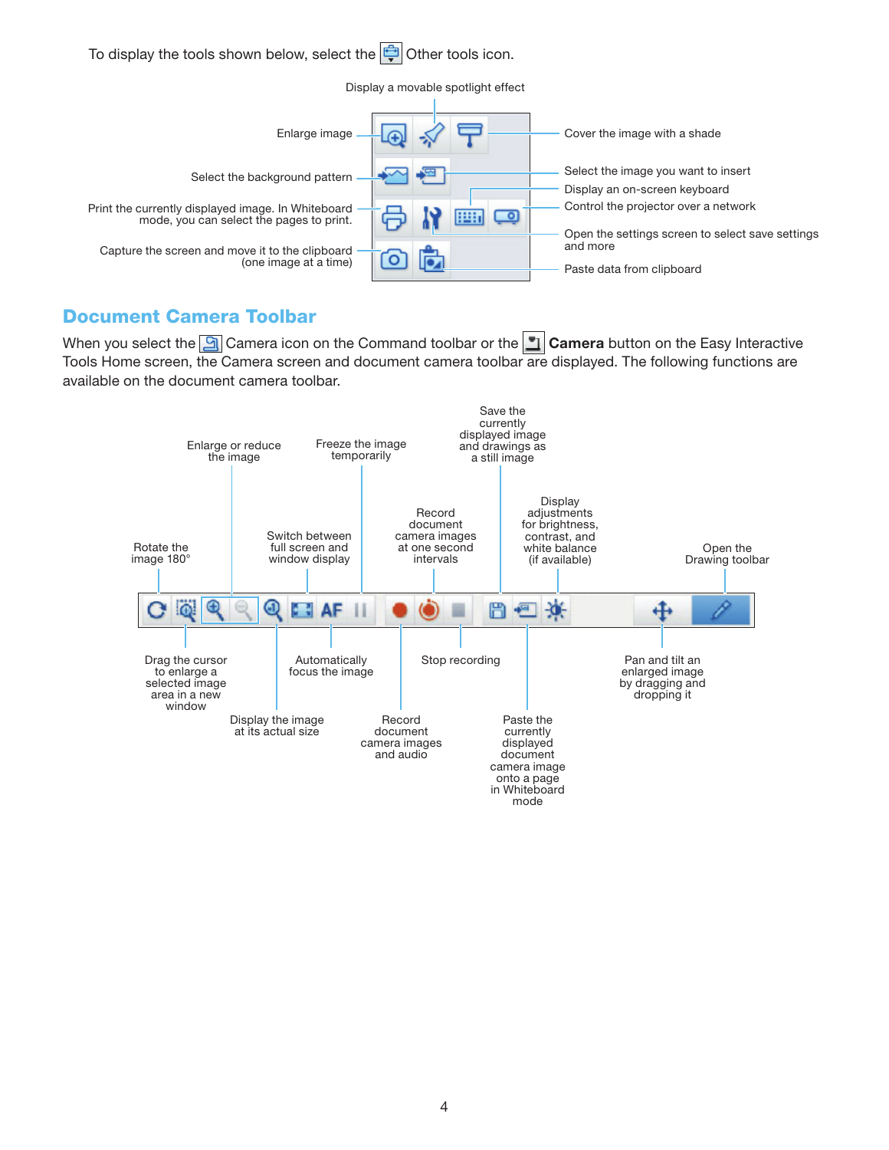

### Document Camera Toolbar

When you select the **G** Camera icon on the Command toolbar or the **Camera** button on the Easy Interactive Tools Home screen, the Camera screen and document camera toolbar are displayed. The following functions are available on the document camera toolbar.